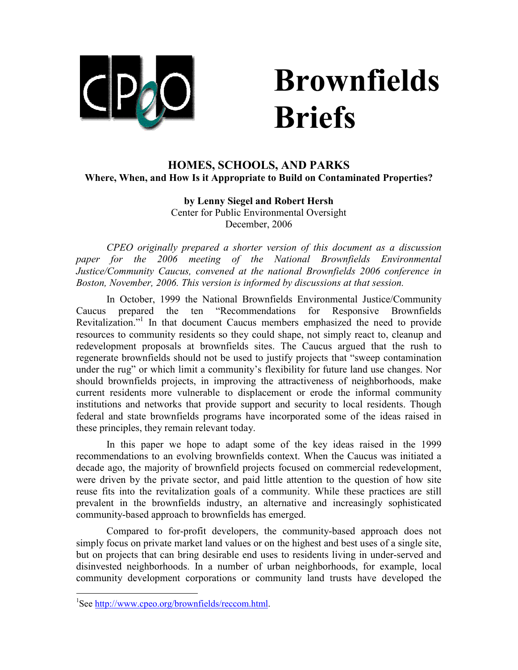

# Brownfields Briefs

## HOMES, SCHOOLS, AND PARKS Where, When, and How Is it Appropriate to Build on Contaminated Properties?

### by Lenny Siegel and Robert Hersh Center for Public Environmental Oversight December, 2006

CPEO originally prepared a shorter version of this document as a discussion paper for the 2006 meeting of the National Brownfields Environmental Justice/Community Caucus, convened at the national Brownfields 2006 conference in Boston, November, 2006. This version is informed by discussions at that session.

In October, 1999 the National Brownfields Environmental Justice/Community Caucus prepared the ten "Recommendations for Responsive Brownfields Revitalization."<sup>1</sup> In that document Caucus members emphasized the need to provide resources to community residents so they could shape, not simply react to, cleanup and redevelopment proposals at brownfields sites. The Caucus argued that the rush to regenerate brownfields should not be used to justify projects that "sweep contamination under the rug" or which limit a community's flexibility for future land use changes. Nor should brownfields projects, in improving the attractiveness of neighborhoods, make current residents more vulnerable to displacement or erode the informal community institutions and networks that provide support and security to local residents. Though federal and state brownfields programs have incorporated some of the ideas raised in these principles, they remain relevant today.

In this paper we hope to adapt some of the key ideas raised in the 1999 recommendations to an evolving brownfields context. When the Caucus was initiated a decade ago, the majority of brownfield projects focused on commercial redevelopment, were driven by the private sector, and paid little attention to the question of how site reuse fits into the revitalization goals of a community. While these practices are still prevalent in the brownfields industry, an alternative and increasingly sophisticated community-based approach to brownfields has emerged.

Compared to for-profit developers, the community-based approach does not simply focus on private market land values or on the highest and best uses of a single site, but on projects that can bring desirable end uses to residents living in under-served and disinvested neighborhoods. In a number of urban neighborhoods, for example, local community development corporations or community land trusts have developed the

 $\overline{a}$ 

<sup>&</sup>lt;sup>1</sup>See http://www.cpeo.org/brownfields/reccom.html.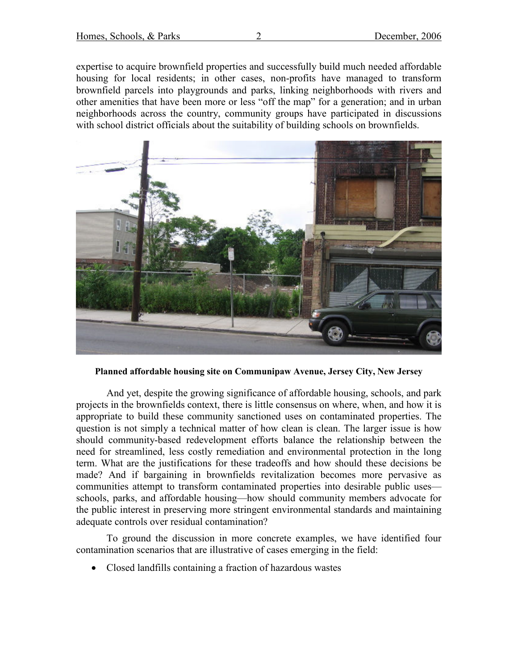expertise to acquire brownfield properties and successfully build much needed affordable housing for local residents; in other cases, non-profits have managed to transform brownfield parcels into playgrounds and parks, linking neighborhoods with rivers and other amenities that have been more or less "off the map" for a generation; and in urban neighborhoods across the country, community groups have participated in discussions with school district officials about the suitability of building schools on brownfields.



Planned affordable housing site on Communipaw Avenue, Jersey City, New Jersey

And yet, despite the growing significance of affordable housing, schools, and park projects in the brownfields context, there is little consensus on where, when, and how it is appropriate to build these community sanctioned uses on contaminated properties. The question is not simply a technical matter of how clean is clean. The larger issue is how should community-based redevelopment efforts balance the relationship between the need for streamlined, less costly remediation and environmental protection in the long term. What are the justifications for these tradeoffs and how should these decisions be made? And if bargaining in brownfields revitalization becomes more pervasive as communities attempt to transform contaminated properties into desirable public uses schools, parks, and affordable housing—how should community members advocate for the public interest in preserving more stringent environmental standards and maintaining adequate controls over residual contamination?

To ground the discussion in more concrete examples, we have identified four contamination scenarios that are illustrative of cases emerging in the field:

• Closed landfills containing a fraction of hazardous wastes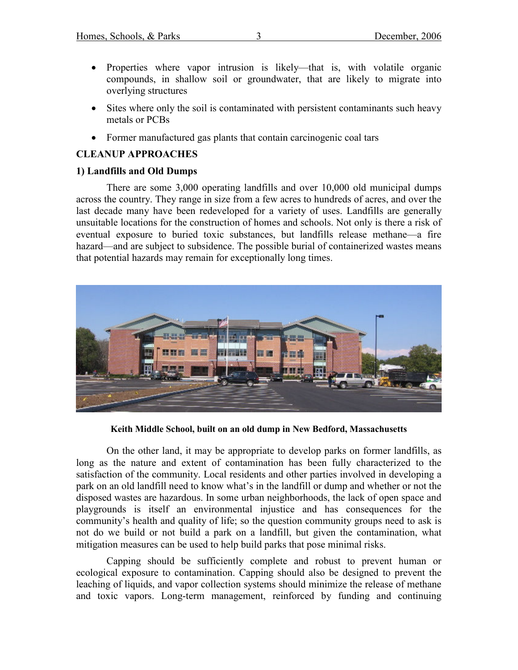- Properties where vapor intrusion is likely—that is, with volatile organic compounds, in shallow soil or groundwater, that are likely to migrate into overlying structures
- Sites where only the soil is contaminated with persistent contaminants such heavy metals or PCBs
- Former manufactured gas plants that contain carcinogenic coal tars

## CLEANUP APPROACHES

## 1) Landfills and Old Dumps

There are some 3,000 operating landfills and over 10,000 old municipal dumps across the country. They range in size from a few acres to hundreds of acres, and over the last decade many have been redeveloped for a variety of uses. Landfills are generally unsuitable locations for the construction of homes and schools. Not only is there a risk of eventual exposure to buried toxic substances, but landfills release methane—a fire hazard—and are subject to subsidence. The possible burial of containerized wastes means that potential hazards may remain for exceptionally long times.



Keith Middle School, built on an old dump in New Bedford, Massachusetts

On the other land, it may be appropriate to develop parks on former landfills, as long as the nature and extent of contamination has been fully characterized to the satisfaction of the community. Local residents and other parties involved in developing a park on an old landfill need to know what's in the landfill or dump and whether or not the disposed wastes are hazardous. In some urban neighborhoods, the lack of open space and playgrounds is itself an environmental injustice and has consequences for the community's health and quality of life; so the question community groups need to ask is not do we build or not build a park on a landfill, but given the contamination, what mitigation measures can be used to help build parks that pose minimal risks.

Capping should be sufficiently complete and robust to prevent human or ecological exposure to contamination. Capping should also be designed to prevent the leaching of liquids, and vapor collection systems should minimize the release of methane and toxic vapors. Long-term management, reinforced by funding and continuing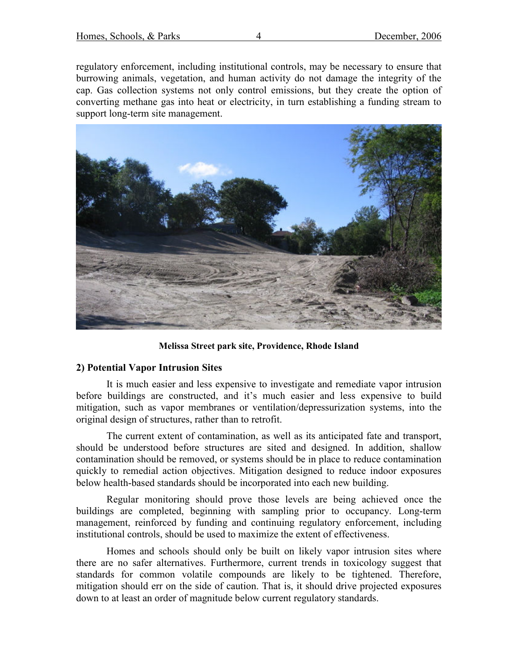regulatory enforcement, including institutional controls, may be necessary to ensure that burrowing animals, vegetation, and human activity do not damage the integrity of the cap. Gas collection systems not only control emissions, but they create the option of converting methane gas into heat or electricity, in turn establishing a funding stream to support long-term site management.



Melissa Street park site, Providence, Rhode Island

#### 2) Potential Vapor Intrusion Sites

It is much easier and less expensive to investigate and remediate vapor intrusion before buildings are constructed, and it's much easier and less expensive to build mitigation, such as vapor membranes or ventilation/depressurization systems, into the original design of structures, rather than to retrofit.

The current extent of contamination, as well as its anticipated fate and transport, should be understood before structures are sited and designed. In addition, shallow contamination should be removed, or systems should be in place to reduce contamination quickly to remedial action objectives. Mitigation designed to reduce indoor exposures below health-based standards should be incorporated into each new building.

Regular monitoring should prove those levels are being achieved once the buildings are completed, beginning with sampling prior to occupancy. Long-term management, reinforced by funding and continuing regulatory enforcement, including institutional controls, should be used to maximize the extent of effectiveness.

Homes and schools should only be built on likely vapor intrusion sites where there are no safer alternatives. Furthermore, current trends in toxicology suggest that standards for common volatile compounds are likely to be tightened. Therefore, mitigation should err on the side of caution. That is, it should drive projected exposures down to at least an order of magnitude below current regulatory standards.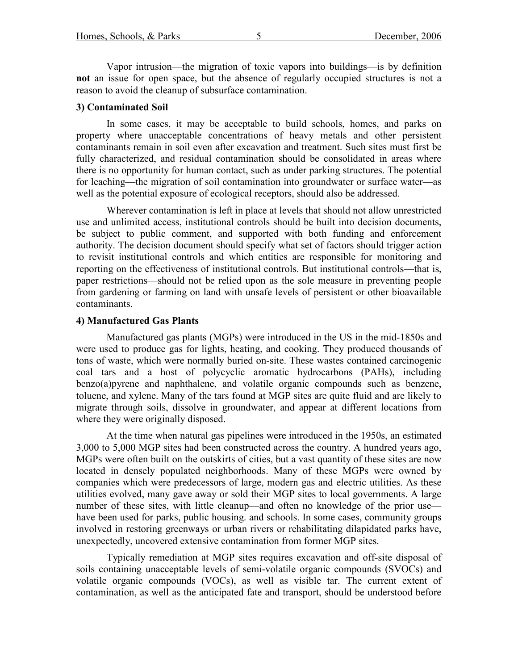Vapor intrusion—the migration of toxic vapors into buildings—is by definition not an issue for open space, but the absence of regularly occupied structures is not a reason to avoid the cleanup of subsurface contamination.

#### 3) Contaminated Soil

In some cases, it may be acceptable to build schools, homes, and parks on property where unacceptable concentrations of heavy metals and other persistent contaminants remain in soil even after excavation and treatment. Such sites must first be fully characterized, and residual contamination should be consolidated in areas where there is no opportunity for human contact, such as under parking structures. The potential for leaching—the migration of soil contamination into groundwater or surface water—as well as the potential exposure of ecological receptors, should also be addressed.

Wherever contamination is left in place at levels that should not allow unrestricted use and unlimited access, institutional controls should be built into decision documents, be subject to public comment, and supported with both funding and enforcement authority. The decision document should specify what set of factors should trigger action to revisit institutional controls and which entities are responsible for monitoring and reporting on the effectiveness of institutional controls. But institutional controls—that is, paper restrictions—should not be relied upon as the sole measure in preventing people from gardening or farming on land with unsafe levels of persistent or other bioavailable contaminants.

#### 4) Manufactured Gas Plants

Manufactured gas plants (MGPs) were introduced in the US in the mid-1850s and were used to produce gas for lights, heating, and cooking. They produced thousands of tons of waste, which were normally buried on-site. These wastes contained carcinogenic coal tars and a host of polycyclic aromatic hydrocarbons (PAHs), including benzo(a)pyrene and naphthalene, and volatile organic compounds such as benzene, toluene, and xylene. Many of the tars found at MGP sites are quite fluid and are likely to migrate through soils, dissolve in groundwater, and appear at different locations from where they were originally disposed.

At the time when natural gas pipelines were introduced in the 1950s, an estimated 3,000 to 5,000 MGP sites had been constructed across the country. A hundred years ago, MGPs were often built on the outskirts of cities, but a vast quantity of these sites are now located in densely populated neighborhoods. Many of these MGPs were owned by companies which were predecessors of large, modern gas and electric utilities. As these utilities evolved, many gave away or sold their MGP sites to local governments. A large number of these sites, with little cleanup—and often no knowledge of the prior use have been used for parks, public housing. and schools. In some cases, community groups involved in restoring greenways or urban rivers or rehabilitating dilapidated parks have, unexpectedly, uncovered extensive contamination from former MGP sites.

Typically remediation at MGP sites requires excavation and off-site disposal of soils containing unacceptable levels of semi-volatile organic compounds (SVOCs) and volatile organic compounds (VOCs), as well as visible tar. The current extent of contamination, as well as the anticipated fate and transport, should be understood before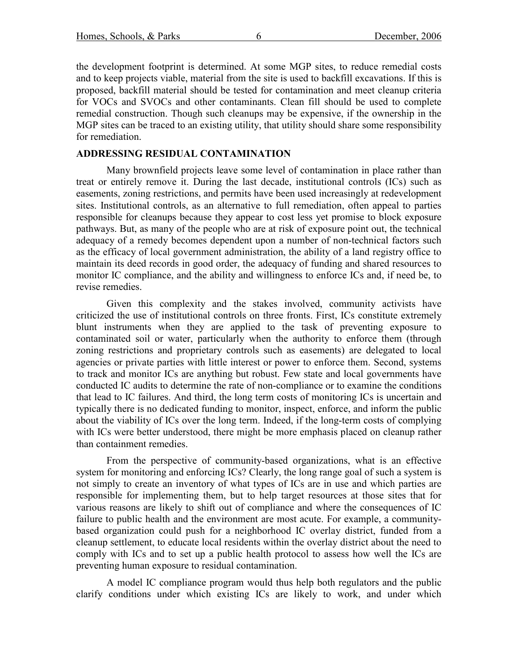the development footprint is determined. At some MGP sites, to reduce remedial costs and to keep projects viable, material from the site is used to backfill excavations. If this is proposed, backfill material should be tested for contamination and meet cleanup criteria for VOCs and SVOCs and other contaminants. Clean fill should be used to complete remedial construction. Though such cleanups may be expensive, if the ownership in the MGP sites can be traced to an existing utility, that utility should share some responsibility for remediation.

### ADDRESSING RESIDUAL CONTAMINATION

Many brownfield projects leave some level of contamination in place rather than treat or entirely remove it. During the last decade, institutional controls (ICs) such as easements, zoning restrictions, and permits have been used increasingly at redevelopment sites. Institutional controls, as an alternative to full remediation, often appeal to parties responsible for cleanups because they appear to cost less yet promise to block exposure pathways. But, as many of the people who are at risk of exposure point out, the technical adequacy of a remedy becomes dependent upon a number of non-technical factors such as the efficacy of local government administration, the ability of a land registry office to maintain its deed records in good order, the adequacy of funding and shared resources to monitor IC compliance, and the ability and willingness to enforce ICs and, if need be, to revise remedies.

Given this complexity and the stakes involved, community activists have criticized the use of institutional controls on three fronts. First, ICs constitute extremely blunt instruments when they are applied to the task of preventing exposure to contaminated soil or water, particularly when the authority to enforce them (through zoning restrictions and proprietary controls such as easements) are delegated to local agencies or private parties with little interest or power to enforce them. Second, systems to track and monitor ICs are anything but robust. Few state and local governments have conducted IC audits to determine the rate of non-compliance or to examine the conditions that lead to IC failures. And third, the long term costs of monitoring ICs is uncertain and typically there is no dedicated funding to monitor, inspect, enforce, and inform the public about the viability of ICs over the long term. Indeed, if the long-term costs of complying with ICs were better understood, there might be more emphasis placed on cleanup rather than containment remedies.

From the perspective of community-based organizations, what is an effective system for monitoring and enforcing ICs? Clearly, the long range goal of such a system is not simply to create an inventory of what types of ICs are in use and which parties are responsible for implementing them, but to help target resources at those sites that for various reasons are likely to shift out of compliance and where the consequences of IC failure to public health and the environment are most acute. For example, a communitybased organization could push for a neighborhood IC overlay district, funded from a cleanup settlement, to educate local residents within the overlay district about the need to comply with ICs and to set up a public health protocol to assess how well the ICs are preventing human exposure to residual contamination.

A model IC compliance program would thus help both regulators and the public clarify conditions under which existing ICs are likely to work, and under which